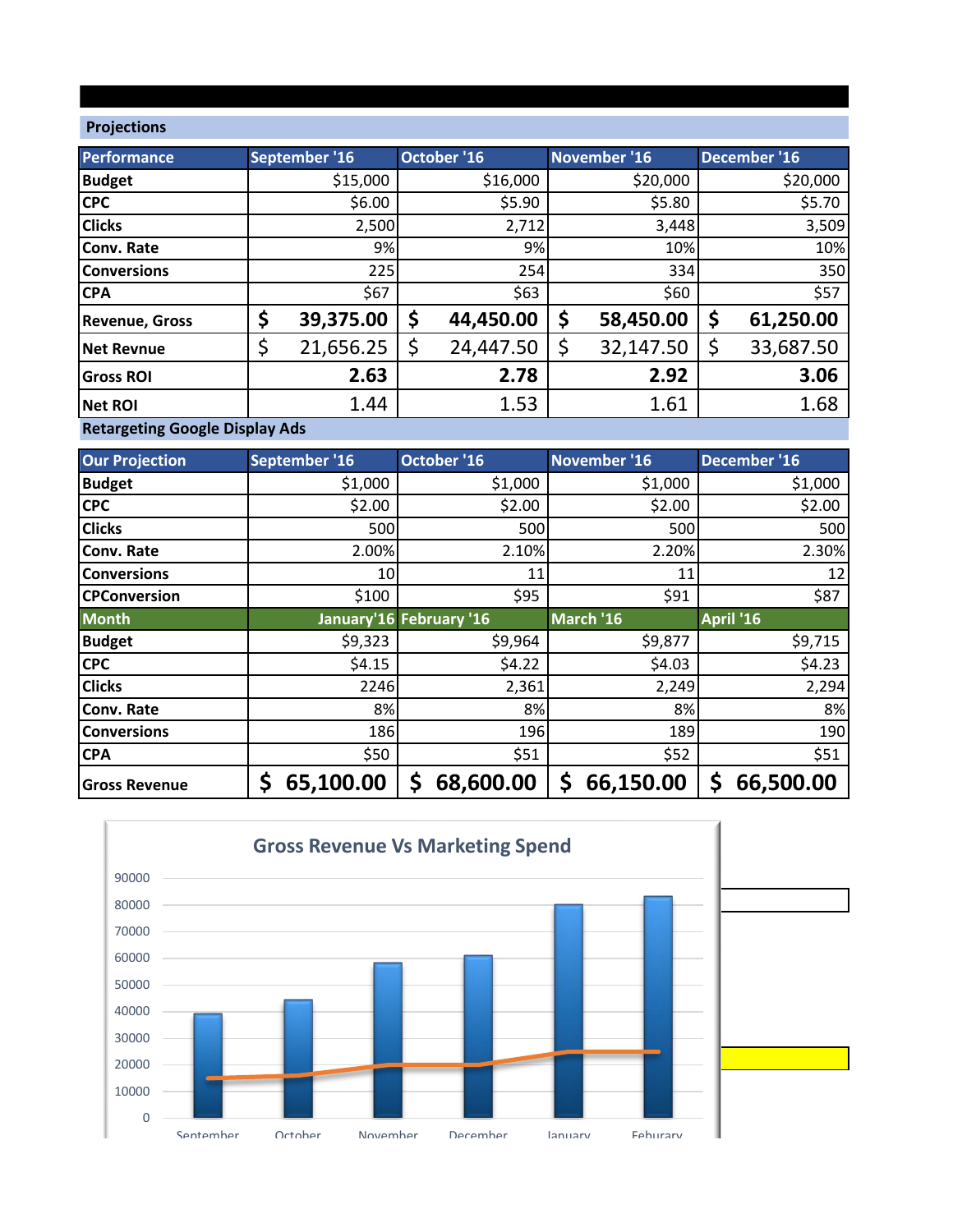## **Projections**

| Performance                     | September '16   | October '16     | November '16    | December '16    |
|---------------------------------|-----------------|-----------------|-----------------|-----------------|
| <b>Budget</b>                   | \$15,000        | \$16,000        | \$20,000        | \$20,000        |
| <b>CPC</b>                      | \$6.00          | \$5.90          | \$5.80          | \$5.70          |
| <b>Clicks</b>                   | 2,500           | 2,712           | 3,448           | 3,509           |
| <b>Conv. Rate</b>               | 9%              | 9%              | 10%             | 10%             |
| <b>Conversions</b>              | 225             | 254             | 334             | 350             |
| <b>CPA</b>                      | \$67            | \$63            | \$60            | \$57            |
| <b>Revenue, Gross</b>           | \$<br>39,375.00 | \$<br>44,450.00 | \$<br>58,450.00 | \$<br>61,250.00 |
| <b>Net Revnue</b>               | \$<br>21,656.25 | \$<br>24,447.50 | 32,147.50       | \$<br>33,687.50 |
| <b>Gross ROI</b>                | 2.63            | 2.78            | 2.92            | 3.06            |
| <b>Net ROI</b>                  | 1.44            | 1.53            | 1.61            | 1.68            |
| Beteinettiin Genete Blanten Ade |                 |                 |                 |                 |

**Retargeting Google Display Ads**

| <b>Our Projection</b> | September '16   | October '16             | November '16 | December '16   |
|-----------------------|-----------------|-------------------------|--------------|----------------|
| <b>Budget</b>         | \$1,000         | \$1,000                 | \$1,000      | \$1,000        |
| <b>CPC</b>            | \$2.00          | \$2.00                  | \$2.00       | \$2.00         |
| <b>Clicks</b>         | 500             | 500                     | 500          | 500            |
| <b>Conv. Rate</b>     | 2.00%           | 2.10%                   | 2.20%        | 2.30%          |
| <b>Conversions</b>    | 10I             | 11                      | 11           | 12             |
| <b>CPConversion</b>   | \$100           | \$95                    | \$91         | \$87           |
| <b>Month</b>          |                 | January'16 February '16 | March '16    | April '16      |
| <b>Budget</b>         | \$9,323         | \$9,964                 | \$9,877      | \$9,715        |
| <b>CPC</b>            | \$4.15          | \$4.22                  | \$4.03       | \$4.23         |
| <b>Clicks</b>         | 2246            | 2,361                   | 2,249        | 2,294          |
| <b>Conv. Rate</b>     | 8%              | 8%                      | 8%           | 8%             |
| <b>Conversions</b>    | 186             | 196                     | 189          | 190            |
| <b>CPA</b>            | \$50            | \$51                    | \$52         | \$51           |
| <b>Gross Revenue</b>  | \$<br>65,100.00 | 68,600.00<br>Ś          | 66,150.00    | Ş<br>66,500.00 |

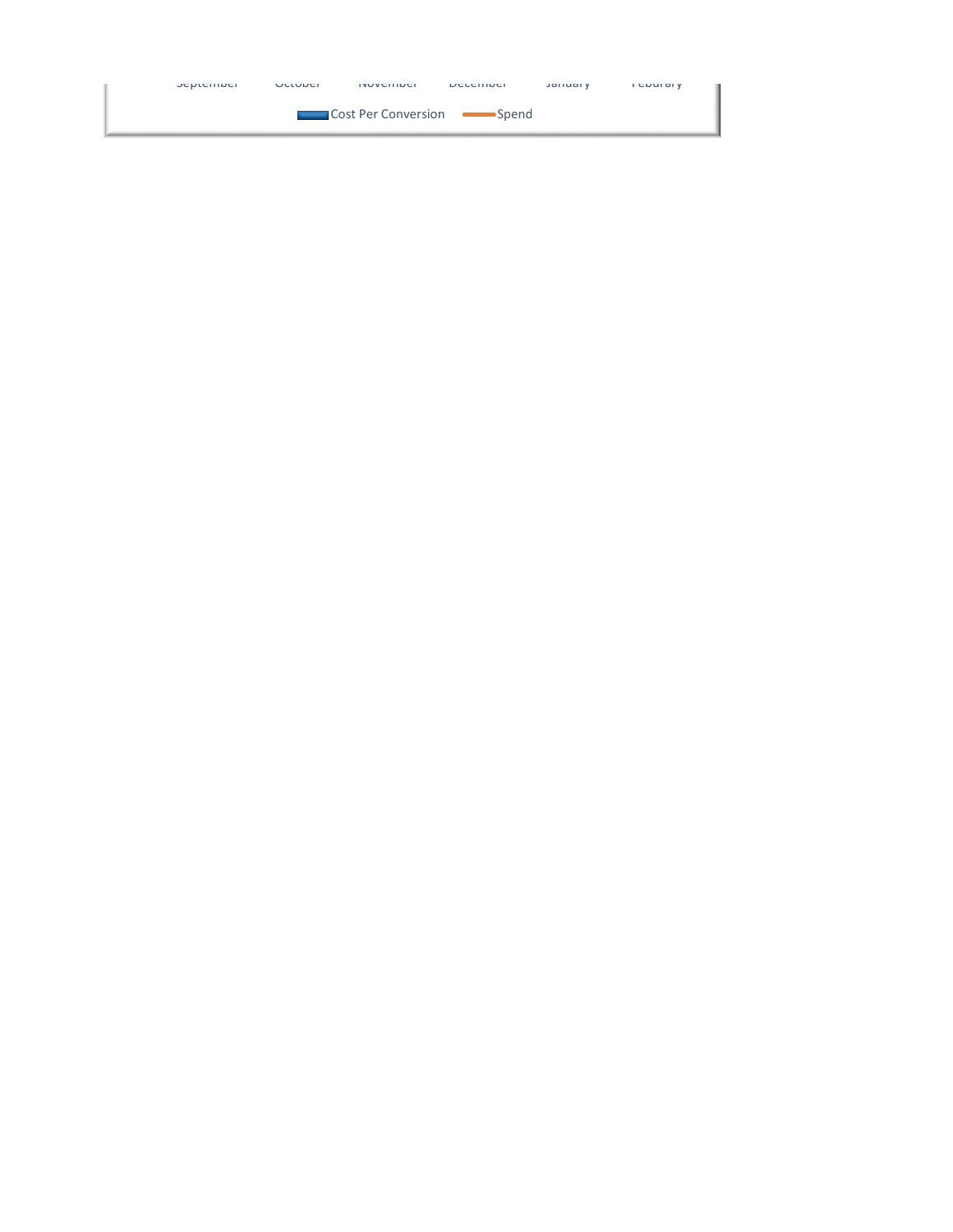| <b>JENIEIIINEI</b> | ULLUUCI | <b>INUVEIIINEI</b>    | <b>DECETTINEL</b> | <b>Jaliual</b> Y | <b>FEDUIDIY</b> |
|--------------------|---------|-----------------------|-------------------|------------------|-----------------|
|                    |         | ■ Cost Per Conversion | •Spend            |                  |                 |